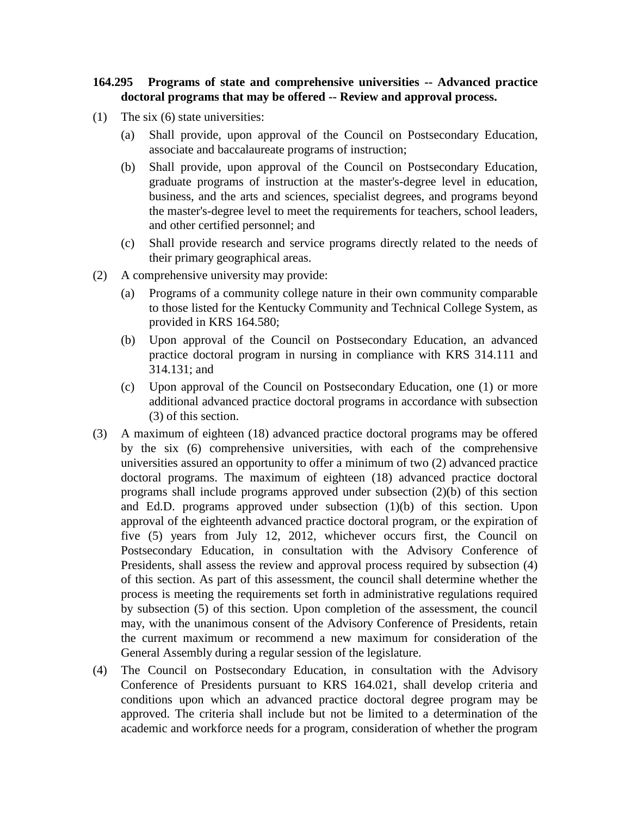## **164.295 Programs of state and comprehensive universities -- Advanced practice doctoral programs that may be offered -- Review and approval process.**

- (1) The six (6) state universities:
	- (a) Shall provide, upon approval of the Council on Postsecondary Education, associate and baccalaureate programs of instruction;
	- (b) Shall provide, upon approval of the Council on Postsecondary Education, graduate programs of instruction at the master's-degree level in education, business, and the arts and sciences, specialist degrees, and programs beyond the master's-degree level to meet the requirements for teachers, school leaders, and other certified personnel; and
	- (c) Shall provide research and service programs directly related to the needs of their primary geographical areas.
- (2) A comprehensive university may provide:
	- (a) Programs of a community college nature in their own community comparable to those listed for the Kentucky Community and Technical College System, as provided in KRS 164.580;
	- (b) Upon approval of the Council on Postsecondary Education, an advanced practice doctoral program in nursing in compliance with KRS 314.111 and 314.131; and
	- (c) Upon approval of the Council on Postsecondary Education, one (1) or more additional advanced practice doctoral programs in accordance with subsection (3) of this section.
- (3) A maximum of eighteen (18) advanced practice doctoral programs may be offered by the six (6) comprehensive universities, with each of the comprehensive universities assured an opportunity to offer a minimum of two (2) advanced practice doctoral programs. The maximum of eighteen (18) advanced practice doctoral programs shall include programs approved under subsection (2)(b) of this section and Ed.D. programs approved under subsection (1)(b) of this section. Upon approval of the eighteenth advanced practice doctoral program, or the expiration of five (5) years from July 12, 2012, whichever occurs first, the Council on Postsecondary Education, in consultation with the Advisory Conference of Presidents, shall assess the review and approval process required by subsection (4) of this section. As part of this assessment, the council shall determine whether the process is meeting the requirements set forth in administrative regulations required by subsection (5) of this section. Upon completion of the assessment, the council may, with the unanimous consent of the Advisory Conference of Presidents, retain the current maximum or recommend a new maximum for consideration of the General Assembly during a regular session of the legislature.
- (4) The Council on Postsecondary Education, in consultation with the Advisory Conference of Presidents pursuant to KRS 164.021, shall develop criteria and conditions upon which an advanced practice doctoral degree program may be approved. The criteria shall include but not be limited to a determination of the academic and workforce needs for a program, consideration of whether the program